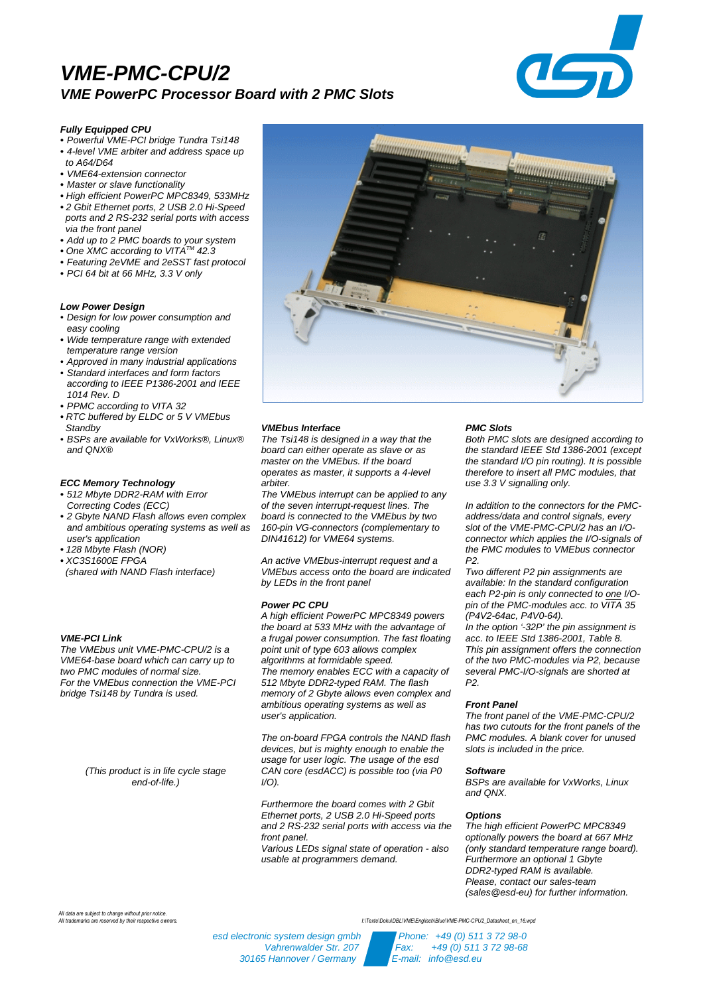# **VME-PMC-CPU/2 VME PowerPC Processor Board with 2 PMC Slots**



# **Fully Equipped CPU**

- **•** Powerful VME-PCI bridge Tundra Tsi148 **•** 4-level VME arbiter and address space up
- to A64/D64
- **•** VME64-extension connector
- **•** Master or slave functionality
- **•** High efficient PowerPC MPC8349, 533MHz
- **•** 2 Gbit Ethernet ports, 2 USB 2.0 Hi-Speed ports and 2 RS-232 serial ports with access via the front panel
- **•** Add up to 2 PMC boards to your system
- One XMC according to VITA™ 42.3
- **•** Featuring 2eVME and 2eSST fast protocol
- **•** PCI 64 bit at 66 MHz, 3.3 V only

# **Low Power Design**

- Design for low power consumption and easy cooling
- **•** Wide temperature range with extended temperature range version
- Approved in many industrial applications
- Standard interfaces and form factors according to IEEE P1386-2001 and IEEE 1014 Rev. D
- **•** PPMC according to VITA 32
- **•** RTC buffered by ELDC or 5 V VMEbus **Standby**
- BSPs are available for VxWorks®, Linux® and ONX®

#### **ECC Memory Technology**

- **•** 512 Mbyte DDR2-RAM with Error Correcting Codes (ECC)
- **•** 2 Gbyte NAND Flash allows even complex and ambitious operating systems as well as user's application
- **•** 128 Mbyte Flash (NOR)
- **•** XC3S1600E FPGA
- (shared with NAND Flash interface)

## **VME-PCI Link**

The VMEbus unit VME-PMC-CPU/2 is a VME64-base board which can carry up to two PMC modules of normal size. For the VMEbus connection the VME-PCI bridge Tsi148 by Tundra is used.

> (This product is in life cycle stage end-of-life.)

*All data are subject to change without prior notice.*



#### **VMEbus Interface**

The Tsi148 is designed in a way that the board can either operate as slave or as master on the VMEbus. If the board operates as master, it supports a 4-level arbiter.

The VMEbus interrupt can be applied to any of the seven interrupt-request lines. The board is connected to the VMEbus by two 160-pin VG-connectors (complementary to DIN41612) for VME64 systems.

An active VMEbus-interrupt request and a VMEbus access onto the board are indicated by LEDs in the front panel

#### **Power PC CPU**

30165 Hannover / Germany

A high efficient PowerPC MPC8349 powers the board at 533 MHz with the advantage of a frugal power consumption. The fast floating point unit of type 603 allows complex algorithms at formidable speed. The memory enables ECC with a capacity of 512 Mbyte DDR2-typed RAM. The flash memory of 2 Gbyte allows even complex and ambitious operating systems as well as user's application.

The on-board FPGA controls the NAND flash devices, but is mighty enough to enable the usage for user logic. The usage of the esd CAN core (esdACC) is possible too (via P0  $I/O$ ).

Furthermore the board comes with 2 Gbit Ethernet ports, 2 USB 2.0 Hi-Speed ports and 2 RS-232 serial ports with access via the front panel.

Various LEDs signal state of operation - also usable at programmers demand.

#### **PMC Slots**

Both PMC slots are designed according to the standard IEEE Std 1386-2001 (except the standard I/O pin routing). It is possible therefore to insert all PMC modules, that use 3.3 V signalling only.

In addition to the connectors for the PMCaddress/data and control signals, every slot of the VME-PMC-CPU/2 has an I/Oconnector which applies the I/O-signals of the PMC modules to VMEbus connector P2.

Two different P2 pin assignments are available: In the standard configuration each P2-pin is only connected to one I/Opin of the PMC-modules acc. to VITA 35 (P4V2-64ac, P4V0-64).

In the option '-32P' the pin assignment is acc. to IEEE Std 1386-2001, Table 8. This pin assignment offers the connection of the two PMC-modules via P2, because several PMC-I/O-signals are shorted at P2.

# **Front Panel**

The front panel of the VME-PMC-CPU/2 has two cutouts for the front panels of the PMC modules. A blank cover for unused slots is included in the price.

#### **Software**

BSPs are available for VxWorks, Linux and QNX.

## **Options**

The high efficient PowerPC MPC8349 optionally powers the board at 667 MHz (only standard temperature range board). Furthermore an optional 1 Gbyte DDR2-typed RAM is available. Please, contact our sales-team (sales@esd-eu) for further information.

*All trademarks are reserved by their respective owners. I:\Texte\Doku\DBL\VME\Englisch\Blue\VME-PMC-CPU2\_Datasheet\_en\_16.wpd*

esd electronic system design gmbh Phone: +49 (0) 511 3 72 98-0 Vahrenwalder Str. 207 **Fax:** +49 (0) 511 3 72 98-68<br>Frannover / Germany **Fax:** F-mail: info@esd.eu